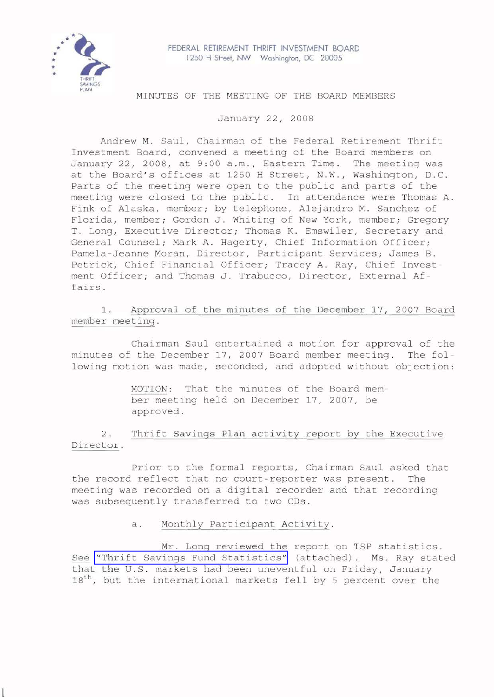

FEDERAL RETIREMENT THRIFT INVESTMENT BOARD 1250 H Street, NW Washington, DC 20005

# MINUTES OF THE MEETING OF THE BOARD MEMBERS

January 22, 2008

Andrew M. Saul, Chairman of the Federal Retirement Thrift Investment Board, convened a meeting of the Board members on January 22, 2008, at 9:00 a.m., Eastern Time. The meeting was at the Board's offices at 1250 <sup>H</sup> Street, N.W., Washington, D.C. Parts of the meeting were open to the public and parts of the meeting were closed to the public. In attendance were Thomas A. Fink of Alaska, member; by telephone, Alejandro M. Sanchez of Florida, member; Gordon J. Whiting of New York, member; Gregory T. Long, Executive Director; Thomas K. Emswiler, Secretary and General Counsel; Mark A. Hagerty, Chief Information Officer; Pamela-Jeanne Moran, Director, Participant Services; James B. Petrick, Chief Financial Officer; Tracey A. Ray, Chief Investment Officer; and Thomas J. Trabucco, Director, External Affairs.

1. Approval of the minutes of the December 17, 2007 Board member meeting.

Chairman Saul entertained a motion for approval of the minutes of the December 17, 2007 Board member meeting. The following motion was made, seconded, and adopted without objection:

> MOTION: That the minutes of the Board member meeting held on December 17, 2007, be approved.

2. Thrift Savings Plan activity report by the Executive Director.

Prior to the formal reports, Chairman Saul asked that the record reflect that no court-reporter was present. The meeting was recorded on <sup>a</sup> digital recorder and that recording was subsequently transferred to two CDs.

# a. Monthly Participant Activity.

Mr. Long reviewed the report on TSP statistics. See "Thrift Savings Fund [Statistics"](http://www.frtib.gov/pdf/minutes/MM-2008Jan-Att1.pdf) (attached). Ms. Ray stated that the U.S. markets had been uneventful on Friday, January 18<sup>th</sup>, but the international markets fell by 5 percent over the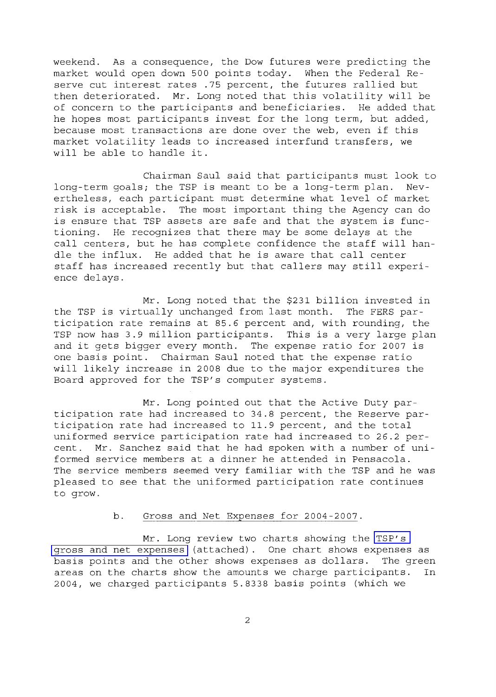weekend. As a consequence, the Dow futures were predicting the market would open down 500 points today. When the Federal Reserve cut interest rates .75 percent, the futures rallied but then deteriorated. Mr. Long noted that this volatility will be of concern to the participants and beneficiaries. He added that he hopes most participants invest for the long term, but added, because most transactions are done over the web, even if this market volatility leads to increased interfund transfers, we will be able to handle it.

Chairman Saul said that participants must look to long-term goals; the TSP is meant to be a long-term plan. Nevertheless, each participant must determine what level of market risk is acceptable. The most important thing the Agency can do is ensure that TSP assets are safe and that the system is functioning. He recognizes that there may be some delays at the call centers, but he has complete confidence the staff will handle the influx. He added that he is aware that call center staff has increased recently but that callers may still experience delays.

Mr. Long noted that the \$231 billion invested in the TSP is virtually unchanged from last month. The FERS participation rate remains at 85.6 percent and, with rounding, the TSP now has 3.9 million participants. This is <sup>a</sup> very large plan and it gets bigger every month. The expense ratio for <sup>2007</sup> is one basis point. Chairman Saul noted that the expense ratio will likely increase in 2008 due to the major expenditures the Board approved for the TSP's computer systems.

Mr. Long pointed out that the Active Duty participation rate had increased to 34.8 percent, the Reserve participation rate had increased to 11.9 percent, and the total uniformed service participation rate had increased to 26.2 percent. Mr. Sanchez said that he had spoken with a number of uniformed service members at a dinner he attended in Pensacola. The service members seemed very familiar with the TSP and he was pleased to see that the uniformed participation rate continues to grow.

# b. Gross and Net Expenses for 2004-2007.

Mr. Long review two charts showing the [TSP's](http://www.frtib.gov/pdf/minutes/MM-2008Jan-Att2.pdf) gross and net [expenses](http://www.frtib.gov/pdf/minutes/MM-2008Jan-Att2.pdf) (attached). One chart shows expenses as basis points and the other shows expenses as dollars. The green areas on the charts show the amounts we charge participants. In 2004, we charged participants 5.8338 basis points (which we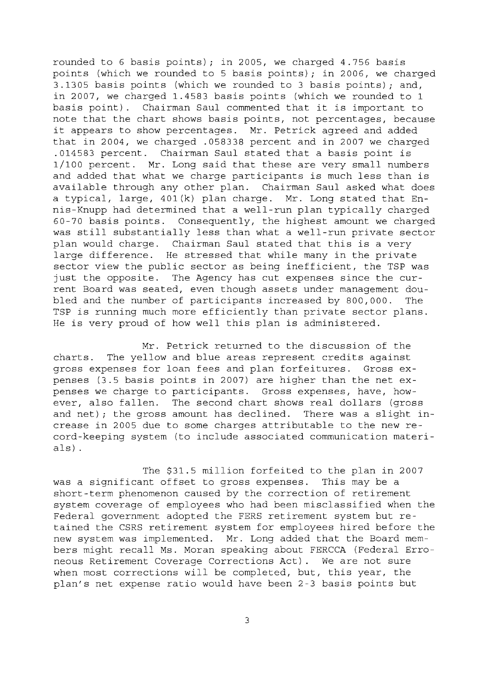rounded to 6 basis points) *<sup>i</sup>* in 2005, we charged 4.756 basis points (which we rounded to 5 basis points) *<sup>i</sup>* in 2006, we charged 3.1305 basis points (which we rounded to 3 basis points) *<sup>i</sup>* and, in 2007, we charged 1.4583 basis points (which we rounded to 1 basis point). Chairman Saul commented that it is important to note that the chart shows basis points, not percentages, because it appears to show percentages. Mr. Petrick agreed and added that in 2004, we charged .058338 percent and in 2007 we charged .014583 percent. Chairman Saul stated that <sup>a</sup> basis point is 1/100 percent. Mr. Long said that these are very small numbers and added that what we charge participants is much less than is available through any other plan. Chairman Saul asked what does <sup>a</sup> typical, large, 401(k) plan charge. Mr. Long stated that Ennis-Knupp had determined that a well-run plan typically charged 60-70 basis points. Consequently, the highest amount we charged was still substantially less than what <sup>a</sup> well-run private sector plan would charge. Chairman Saul stated that this is <sup>a</sup> very large difference. He stressed that while many in the private sector view the public sector as being inefficient, the TSP was just the opposite. The Agency has cut expenses since the current Board was seated, even though assets under management doubled and the number of participants increased by 800,000. The TSP is running much more efficiently than private sector plans. He is very proud of how well this plan is administered.

Mr. Petrick returned to the discussion of the charts. The yellow and blue areas represent credits against gross expenses for loan fees and plan forfeitures. Gross expenses (3.5 basis points in 2007) are higher than the net expenses we charge to participants. Gross expenses, have, however, also fallen. The second chart shows real dollars (gross and net) *<sup>i</sup>* the gross amount has declined. There was <sup>a</sup> slight increase in 2005 due to some charges attributable to the new record-keeping system (to include associated communication materials) .

The \$31.5 million forfeited to the plan in 2007 was a significant offset to gross expenses. This may be a short-term phenomenon caused by the correction of retirement system coverage of employees who had been misclassified when the Federal government adopted the FERS retirement system but retained the CSRS retirement system for employees hired before the new system was implemented. Mr. Long added that the Board members might recall Ms. Moran speaking about FERCCA (Federal Erroneous Retirement Coverage Corrections Act). We are not sure when most corrections will be completed, but, this year, the plan's net expense ratio would have been 2-3 basis points but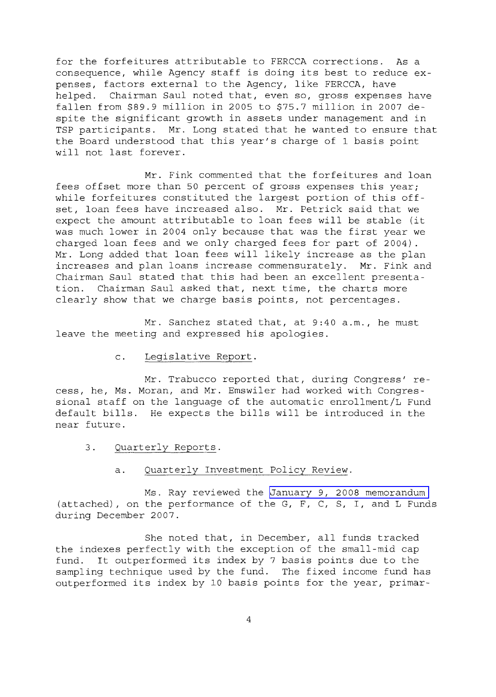for the forfeitures attributable to FERCCA corrections. As <sup>a</sup> consequence, while Agency staff is doing its best to reduce expenses, factors external to the Agency, like FERCCA, have helped. Chairman Saul noted that, even so, gross expenses have fallen from \$89.9 million in 2005 to \$75.7 million in 2007 despite the significant growth in assets under management and in TSP participants. Mr. Long stated that he wanted to ensure that the Board understood that this year's charge of <sup>1</sup> basis point will not last forever.

Mr. Fink commented that the forfeitures and loan fees offset more than 50 percent of gross expenses this year; while forfeitures constituted the largest portion of this offset, loan fees have increased also. Mr. Petrick said that we expect the amount attributable to loan fees will be stable (it was much lower in <sup>2004</sup> only because that was the first year we charged loan fees and we only charged fees for part of 2004). Mr. Long added that loan fees will likely increase as the plan increases and plan loans increase commensurately. Mr. Fink and Chairman Saul stated that this had been an excellent presentation. Chairman Saul asked that, next time, the charts more clearly show that we charge basis points, not percentages.

Mr. Sanchez stated that, at 9:40 a.m., he must leave the meeting and expressed his apologies.

# c. Legislative Report.

Mr. Trabucco reported that, during Congress' recess, he, Ms. Moran, and Mr. Emswiler had worked with Congressional staff on the language of the automatic enrollment/L Fund default bills. He expects the bills will be introduced in the near future.

3. Quarterly Reports.

### a. Quarterly Investment Policy Review.

Ms. Ray reviewed the January 9, 2008 [memorandum](http://www.frtib.gov/pdf/minutes/MM-2008Jan-Att3.pdf) (attached), on the performance of the G, F, C, S, I, and L Funds during December 2007.

She noted that, in December, all funds tracked the indexes perfectly with the exception of the small-mid cap fund. It outperformed its index by <sup>7</sup> basis points due to the sampling technique used by the fund. The fixed income fund has outperformed its index by <sup>10</sup> basis points for the year, primar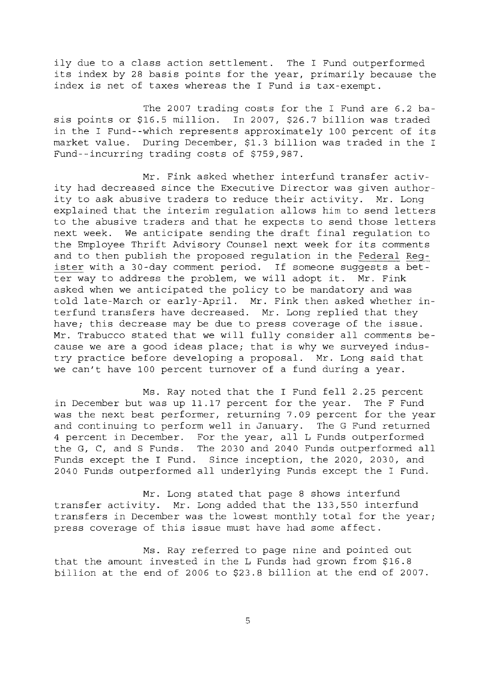ily due to <sup>a</sup> class action settlement. The <sup>I</sup> Fund outperformed its index by <sup>28</sup> basis points for the year, primarily because the index is net of taxes whereas the <sup>I</sup> Fund is tax-exempt.

The 2007 trading costs for the I Fund are 6.2 basis points or \$16.5 million. In 2007, \$26.7 billion was traded in the <sup>I</sup> Fund--which represents approximately <sup>100</sup> percent of its market value. During December, \$1.3 billion was traded in the <sup>I</sup> Fund--incurring trading costs of \$759,987.

Mr. Fink asked whether interfund transfer activity had decreased since the Executive Director was given authority to ask abusive traders to reduce their activity. Mr. Long explained that the interim regulation allows him to send letters to the abusive traders and that he expects to send those letters next week. We anticipate sending the draft final regulation to the Employee Thrift Advisory Counsel next week for its comments and to then publish the proposed regulation in the Federal Register with a 30-day comment period. If someone suggests a better way to address the problem, we will adopt it. Mr. Fink asked when we anticipated the policy to be mandatory and was told late-March or early-April. Mr. Fink then asked whether interfund transfers have decreased. Mr. Long replied that they have; this decrease may be due to press coverage of the issue. Mr. Trabucco stated that we will fully consider all comments because we are <sup>a</sup> good ideas place; that is why we surveyed industry practice before developing <sup>a</sup> proposal. Mr. Long said that we can't have 100 percent turnover of a fund during a year.

Ms. Ray noted that the <sup>I</sup> Fund fell 2.25 percent in December but was up 11.17 percent for the year. The F Fund was the next best performer, returning 7.09 percent for the year and continuing to perform well in January. The G Fund returned <sup>4</sup> percent in December. For the year, all <sup>L</sup> Funds outperformed the G, C, and <sup>S</sup> Funds. The 2030 and 2040 Funds outperformed all Funds except the I Fund. Since inception, the 2020, 2030, and <sup>2040</sup> Funds outperformed all underlying Funds except the <sup>I</sup> Fund.

Mr. Long stated that page 8 shows interfund transfer activity. Mr. Long added that the 133,550 interfund transfers in December was the lowest monthly total for the year; press coverage of this issue must have had some affect.

Ms. Ray referred to page nine and pointed out that the amount invested in the L Funds had grown from \$16.8 billion at the end of 2006 to \$23.8 billion at the end of 2007.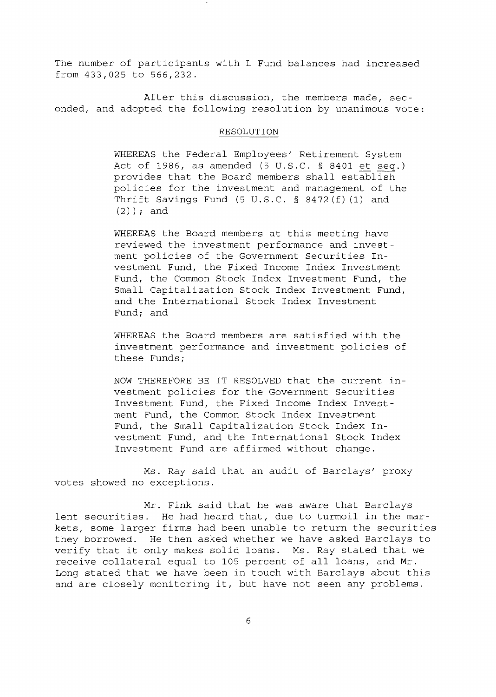The number of participants with L Fund balances had increased from 433,025 to 566,232.

After this discussion, the members made, seconded, and adopted the following resolution by unanimous vote:

#### RESOLUTION

WHEREAS the Federal Employees' Retirement System Act of 1986, as amended (5 U.S.C. § 8401 et seq.) provides that the Board members shall establish policies for the investment and management of the Thrift Savings Fund (5 U.S.C. § 8472 (f) (1) and (2) ); and

WHEREAS the Board members at this meeting have reviewed the investment performance and investment policies of the Government Securities Investment Fund, the Fixed Income Index Investment Fund, the Common Stock Index Investment Fund, the Small Capitalization Stock Index Investment Fund, and the International Stock Index Investment Fund; and

WHEREAS the Board members are satisfied with the investment performance and investment policies of these Funds;

NOW THEREFORE BE IT RESOLVED that the current investment policies for the Government Securities Investment Fund, the Fixed Income Index Investment Fund, the Common Stock Index Investment Fund, the Small Capitalization Stock Index Investment Fund, and the International Stock Index Investment Fund are affirmed without change.

Ms. Ray said that an audit of Barclays' proxy votes showed no exceptions.

Mr. Fink said that he was aware that Barclays lent securities. He had heard that, due to turmoil in the markets, some larger firms had been unable to return the securities they borrowed. He then asked whether we have asked Barclays to verify that it only makes solid loans. Ms. Ray stated that we receive collateral equal to <sup>105</sup> percent of all loans, and Mr. Long stated that we have been in touch with Barclays about this and are closely monitoring it, but have not seen any problems.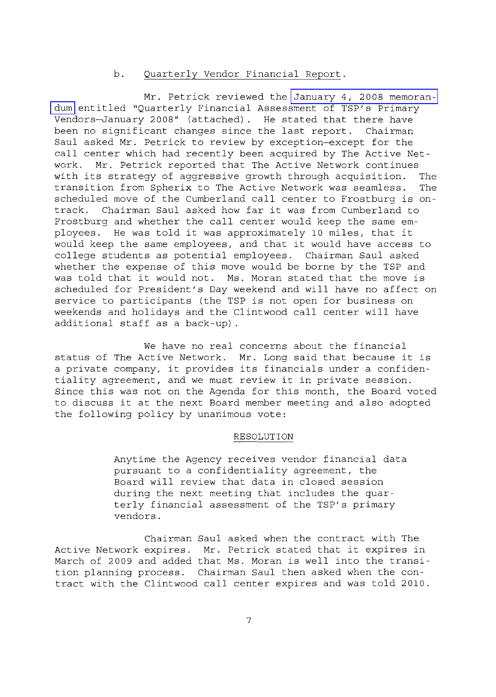## b. Quarterly Vendor Financial Report.

Mr. Petrick reviewed the [January](http://www.frtib.gov/pdf/minutes/MM-2008Jan-Att4.pdf) 4, 2008 memoran[dum](http://www.frtib.gov/pdf/minutes/MM-2008Jan-Att4.pdf) entitled "Quarterly Financial Assessment of TSP's Primary Vendors-January 2008" (attached). He stated that there have been no significant changes since the last report. Chairman Saul asked Mr. Petrick to review by exception-except for the call center which had recently been acquired by The Active Network. Mr. Petrick reported that The Active Network continues with its strategy of aggressive growth through acquisition. The transition from Spherix to The Active Network was seamless. The transition from Spherix to The Active Network was seamless. scheduled move of the Cumberland call center to Frostburg is ontrack. Chairman Saul asked how far it was from Cumberland to Frostburg and whether the call center would keep the same employees. He was told it was approximately <sup>10</sup> miles, that it would keep the same employees, and that it would have access to college students as potential employees. Chairman Saul asked whether the expense of this move would be borne by the TSP and was told that it would not. Ms. Moran stated that the move is scheduled for President's Day weekend and will have no affect on service to participants (the TSP is not open for business on weekends and holidays and the Clintwood call center will have additional staff as <sup>a</sup> back-up) .

We have no real concerns about the financial status of The Active Network. Mr. Long said that because it is <sup>a</sup> private company, it provides its financials under <sup>a</sup> confidentiality agreement, and we must review it in private session. Since this was not on the Agenda for this month, the Board voted to discuss it at the next Board member meeting and also adopted the following policy by unanimous vote:

#### RESOLUTION

Anytime the Agency receives vendor financial data pursuant to a confidentiality agreement, the Board will review that data in closed session during the next meeting that includes the quarterly financial assessment of the TSP's primary vendors.

Chairman Saul asked when the contract with The Active Network expires. Mr. Petrick stated that it expires in March of 2009 and added that Ms. Moran is well into the transition planning process. Chairman Saul then asked when the contract with the Clintwood call center expires and was told 2010.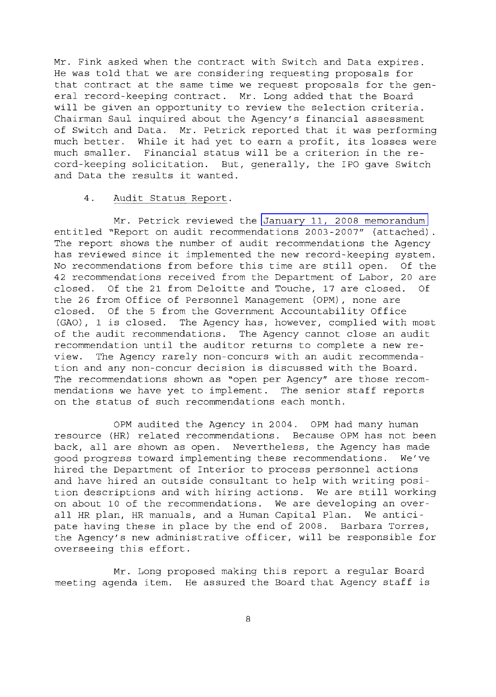Mr. Fink asked when the contract with Switch and Data expires. He was told that we are considering requesting proposals for that contract at the same time we request proposals for the general record-keeping contract. Mr. Long added that the Board will be given an opportunity to review the selection criteria. Chairman Saul inquired about the Agency's financial assessment of Switch and Data. Mr. Petrick reported that it was performing much better. While it had yet to earn <sup>a</sup> profit, its losses were much smaller. Financial status will be <sup>a</sup> criterion in the record-keeping solicitation. But, generally, the IPO gave Switch and Data the results it wanted.

## 4. Audit Status Report.

Mr. Petrick reviewed the January 11, 2008 [memorandum](http://www.frtib.gov/pdf/minutes/MM-2008Jan-Att5.pdf) entitled "Report on audit recommendations 2003-2007" (attached) The report shows the number of audit recommendations the Agency has reviewed since it implemented the new record-keeping system. No recommendations from before this time are still open. Of the 42 recommendations received from the Department of Labor, 20 are closed. Of the 21 from Deloitte and Touche, 17 are closed. Of the 26 from Office of Personnel Management (OPM) , none are closed. Of the 5 from the Government Accountability Office (GAO), <sup>1</sup> is closed. The Agency has, however, complied with most of the audit recommendations. The Agency cannot close an audit recommendation until the auditor returns to complete <sup>a</sup> new review. The Agency rarely non-concurs with an audit recommendation and any non-concur decision is discussed with the Board. The recommendations shown as "open per Agency" are those recommendations we have yet to implement. The senior staff reports on the status of such recommendations each month.

OPM audited the Agency in 2004. OPM had many human resource (HR) related recommendations. Because OPM has not been back, all are shown as open. Nevertheless, the Agency has made good progress toward implementing these recommendations. We've hired the Department of Interior to process personnel actions and have hired an outside consultant to help with writing position descriptions and with hiring actions. We are still working on about 10 of the recommendations. We are developing an overall HR plan, HR manuals, and <sup>a</sup> Human Capital Plan. We anticipate having these in place by the end of 2008. Barbara Torres, the Agency's new administrative officer, will be responsible for overseeing this effort.

Mr. Long proposed making this report <sup>a</sup> regular Board meeting agenda item. He assured the Board that Agency staff is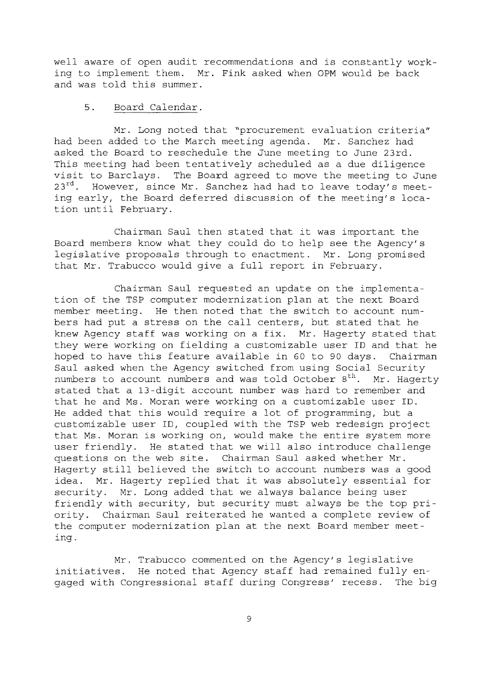well aware of open audit recommendations and is constantly working to implement them. Mr. Fink asked when OPM would be back and was told this summer.

## 5. Board Calendar.

Mr. Long noted that "procurement evaluation criteria" had been added to the March meeting agenda. Mr. Sanchez had asked the Board to reschedule the June meeting to June 23rd. This meeting had been tentatively scheduled as <sup>a</sup> due diligence visit to Barclays. The Board agreed to move the meeting to June  $23^{rd}$ . However, since Mr. Sanchez had had to leave today's meeting early, the Board deferred discussion of the meeting's location until February.

Chairman Saul then stated that it was important the Board members know what they could do to help see the Agency's legislative proposals through to enactment. Mr. Long promised that Mr. Trabucco would give <sup>a</sup> full report in February.

Chairman Saul requested an update on the implementation of the TSP computer modernization plan at the next Board member meeting. He then noted that the switch to account numbers had put <sup>a</sup> stress on the call centers, but stated that he knew Agency staff was working on <sup>a</sup> fix. Mr. Hagerty stated that they were working on fielding a customizable user ID and that he hoped to have this feature available in <sup>60</sup> to <sup>90</sup> days. Chairman Saul asked when the Agency switched from using Social Security numbers to account numbers and was told October  $8^{th}$ . Mr. Hagerty stated that a 13-digit account number was hard to remember and that he and Ms. Moran were working on a customizable user ID. He added that this would require <sup>a</sup> lot of programming, but <sup>a</sup> customizable user ID, coupled with the TSP web redesign project that Ms. Moran is working on, would make the entire system more user friendly. He stated that we will also introduce challenge questions on the web site. Chairman Saul asked whether Mr. Hagerty still believed the switch to account numbers was <sup>a</sup> good idea. Mr. Hagerty replied that it was absolutely essential for security. Mr. Long added that we always balance being user friendly with security, but security must always be the top priority. Chairman Saul reiterated he wanted <sup>a</sup> complete review of the computer modernization plan at the next Board member meeting.

Mr. Trabucco commented on the Agency's legislative initiatives. He noted that Agency staff had remained fully engaged with Congressional staff during Congress' recess. The big